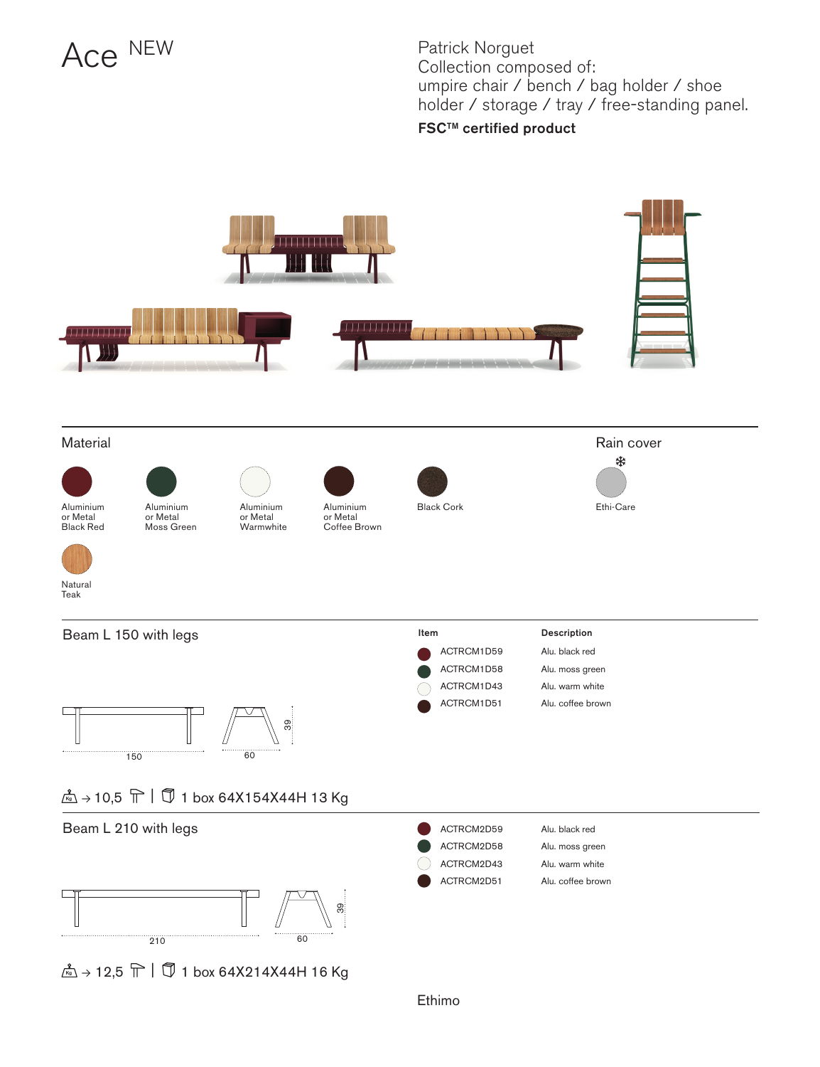## Ace NEW

Patrick Norguet Collection composed of: umpire chair / bench / bag holder / shoe holder / storage / tray / free-standing panel. FSCTM certified product



 $\stackrel{2}{\mathbb{K}}$  + 12,5  $\stackrel{\frown}{\mathbb{T}}$  |  $\stackrel{\frown}{\mathbb{J}}$  1 box 64X214X44H 16 Kg

Ethimo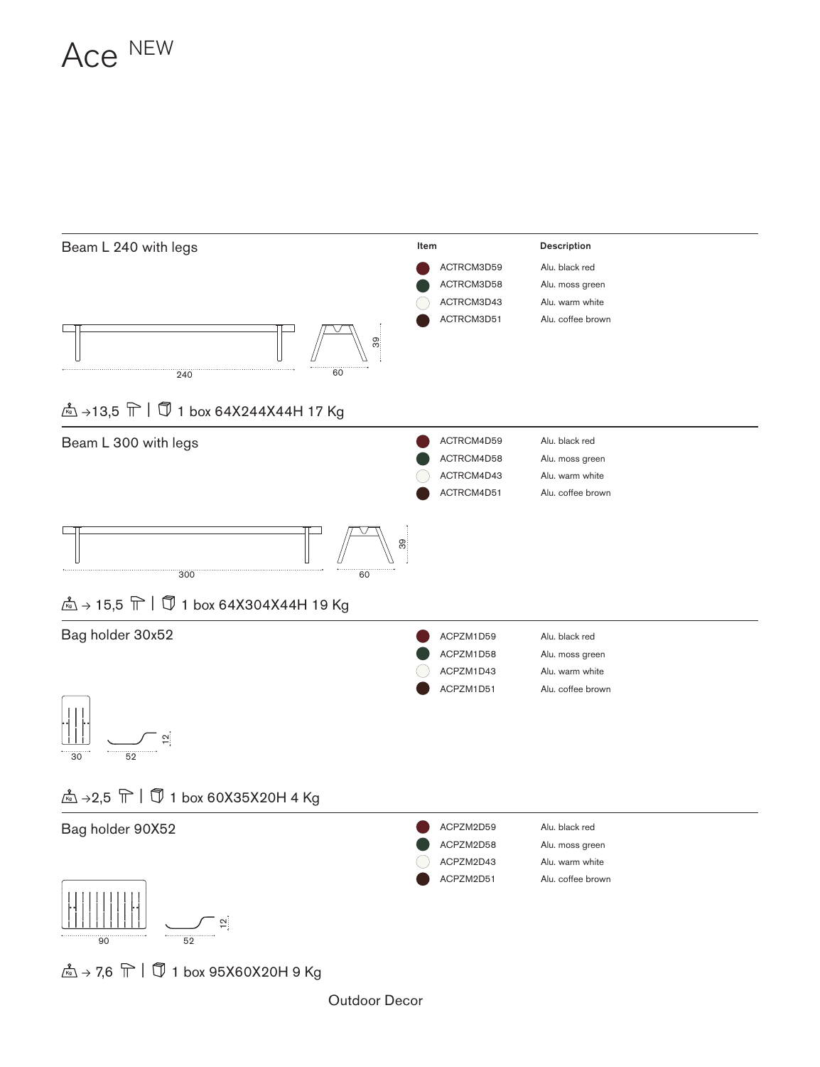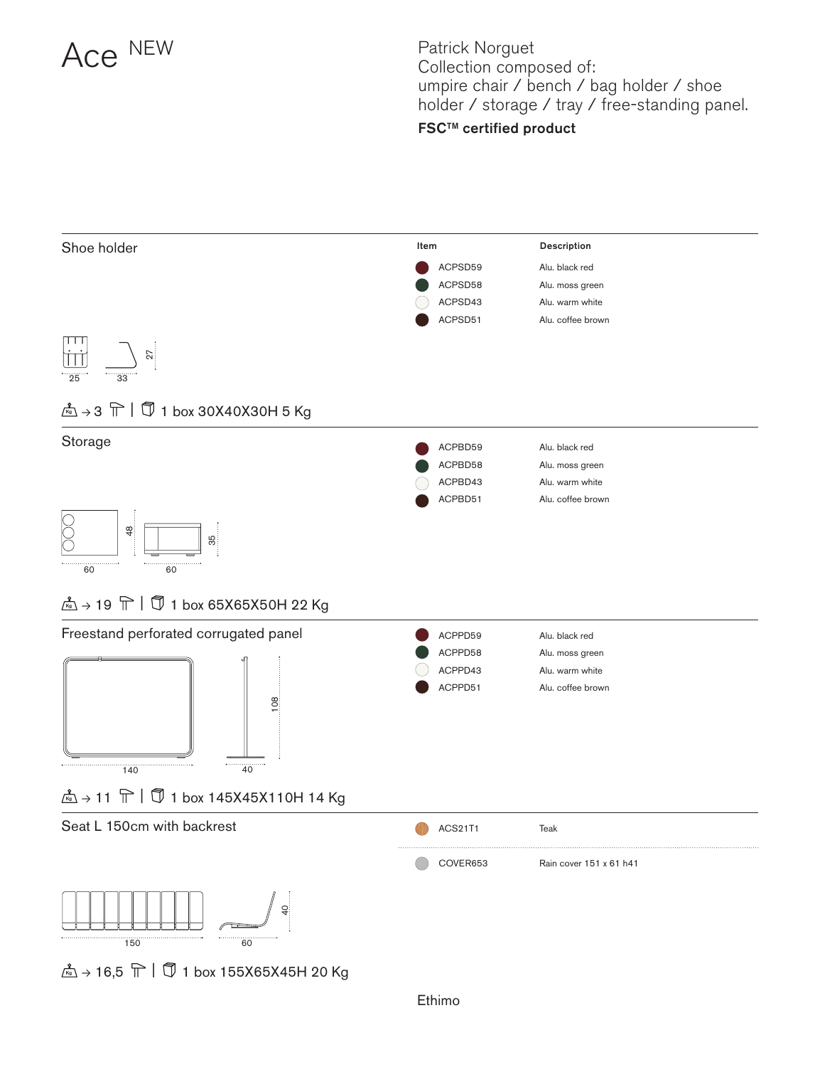

Patrick Norguet Collection composed of: umpire chair / bench / bag holder / shoe holder / storage / tray / free-standing panel. FSCTM certified product

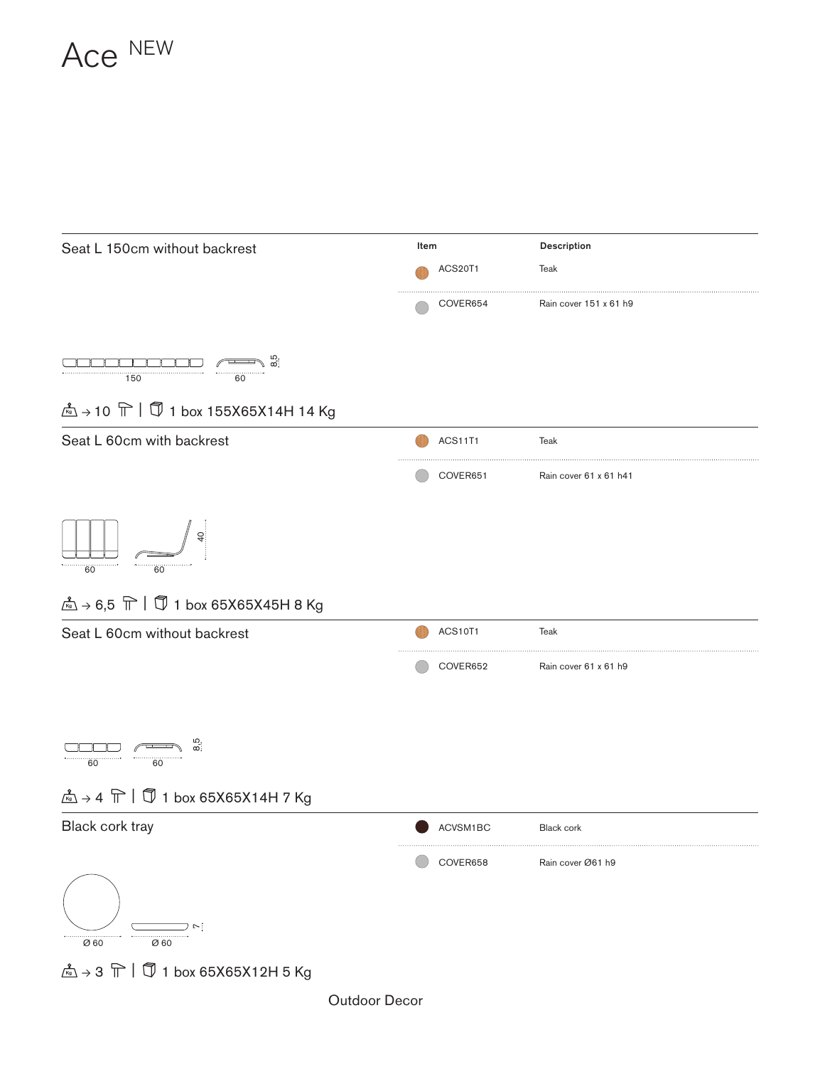



Outdoor Decor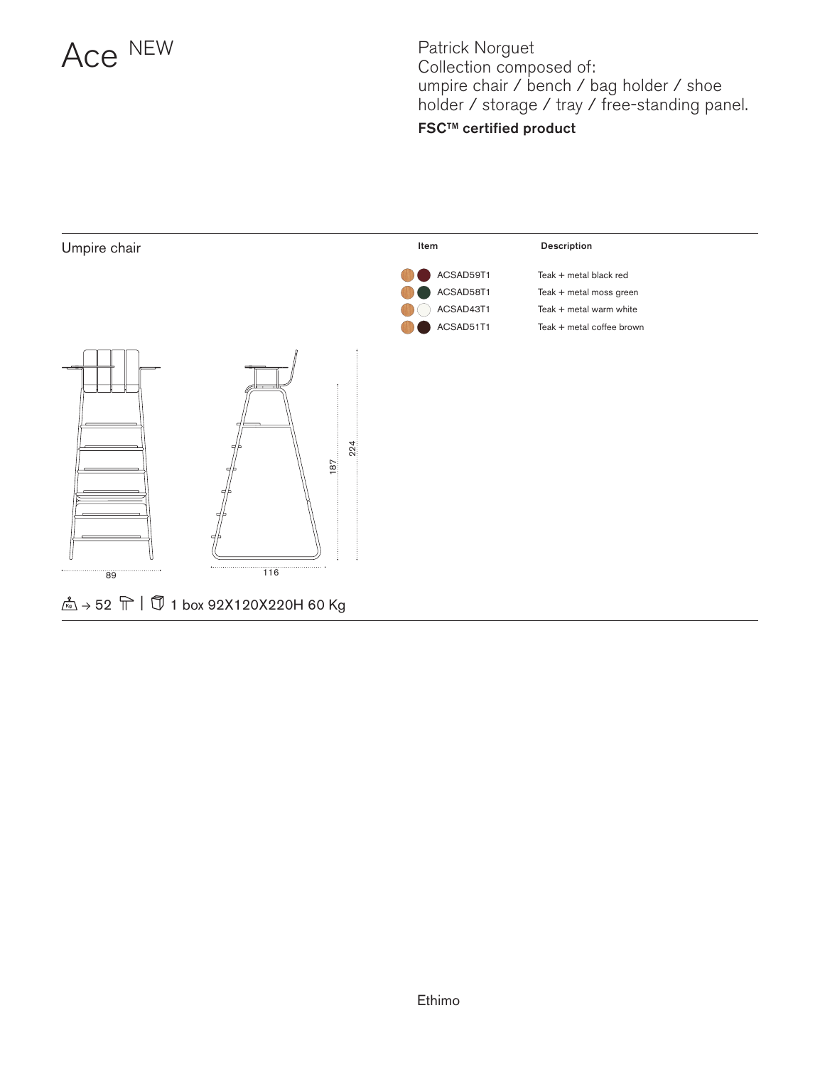

Patrick Norguet Collection composed of: umpire chair / bench / bag holder / shoe holder / storage / tray / free-standing panel. **FSC™** certified product